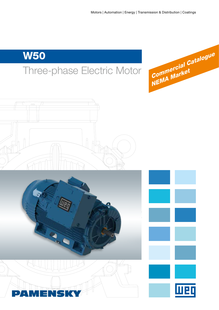# W50







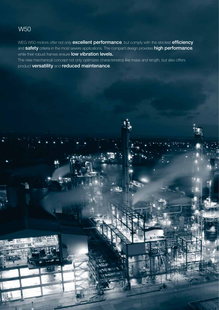## W50

2 W50 Three-phase Electric Motors

WEG W50 motors offer not only excellent performance, but comply with the strictest efficiency and safety criteria in the most severe applications. The compact design provides high performance, while their robust frames ensure **low vibration levels.** 

The new mechanical concept not only optimizes characteristics like mass and length, but also offers product versatility and reduced maintenance.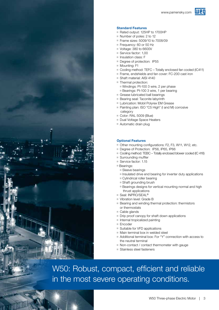



### Standard Features

- Rated output: 125HP to 1700HP
- Number of poles: 2 to 12
- Frame sizes: 5009/10 to 7008/09
- Frequency: 60 or 50 Hz
- **Voltage: 380 to 6600V**
- Service factor: 1,00
- **Insulation class: F**
- Degree of protection: IP55
- **Mounting: F1**
- Gooling method: TEFC Totally enclosed fan cooled (IC411)
- Frame, endshields and fan cover: FC-200 cast iron
- Shaft material: AISI 4140
- Thermal protection:
	- Windings: Pt-100 3 wire, 2 per phase
	- Bearings: Pt-100 3 wire, 1 per bearing
- Grease lubricated ball bearings
- **Bearing seal: Taconite labyrinth**
- **Lubrication: Mobil Polyrex EM Grease**
- Painting plan: ISO "C5 High" (I and M) corrosive category
- Golor: RAL 5009 (Blue)
- Dual Voltage Space Heaters
- $\blacksquare$  Automatic drain plug

#### Optional Features

- Other mounting configurations: F2, F3, W11, W12, etc.
- Degree of Protection: IP56, IP65, IP66
- Gooling method: TEBC Totally enclosed blower cooled (IC 416)
- Surrounding muffler
- Service factor: 1.15
- Bearings:
	- Sleeve bearings
	- $\blacksquare$  Insulated drive end bearing for inverter duty applications
	- Cylindrical roller bearing
	- Shaft grounding brush
	- **Bearings designs for vertical mounting normal and high** thrust applications
- Seal: INPRO/SEAL<sup>®</sup>
- Vibration level: Grade B
- **Bearing and winding thermal protection: thermistors** or thermostats
- $\blacksquare$  Cable glands
- $\blacksquare$  Drip proof canopy for shaft down applications
- $\blacksquare$  Internal tropicalized painting
- Encoder
- $\blacksquare$  Suitable for VFD applications
- $M$  Main terminal box in welded steel
- Additional terminal box: For "Y" connection with access to the neutral terminal
- $\blacksquare$  Non-contact / contact thermometer with gauge
- Stainless steel fasteners

W50: Robust, compact, efficient and reliable in the most severe operating conditions.

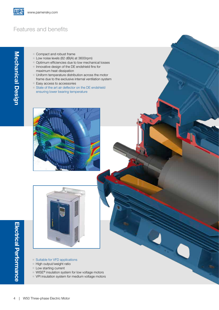## Features and benefits

Mechanical Design

Mechanical Design

- Compact and robust frame
- Low noise levels (82 dB(A) at 3600rpm)
- **Department Optimum efficiencies due to low mechanical losses**
- **F** Innovative design of the DE endshield fins for maximum heat dissipation
- $\blacksquare$  Uniform temperature distribution across the motor frame due to the exclusive internal ventilation system
- Easy access to accessories
- $\blacksquare$  State of the art air deflector on the DE endshield ensuring lower bearing temperature





- G Suitable for VFD applications
- $H$ igh output/weight ratio
- **Low starting current**
- $\blacksquare$  WISE® insulation system for low voltage motors
- v VPI insulation system for medium voltage motors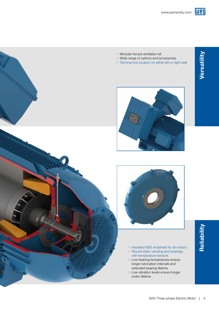

- 
- $\blacksquare$  Modular forced ventilation kit <sup>g</sup> Wide range of options and accessories
	- F Terminal box location on either left or right side





- **F** Insulated NDE endshield for all motors
- $\blacksquare$  Wound stator winding and bearings with temperature sensors
- **Low bearing temperatures ensure** longer lubrication intervals and extended bearing lifetime
- Low vibration levels ensure longer motor lifetime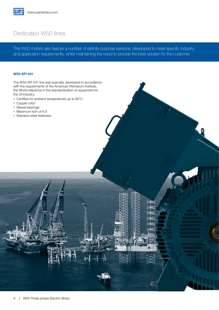### Dedicated W50 lines

The W50 motors also feature a number of definite purpose versions, developed to meet specific industry and application requirements, whilst maintaining the need to provide the best solution for the customer.

> $>R$ **DAKI DAKI** 243 481

### W50 API 541

The W50 API 541 line was specially developed in accordance with the requirements of the American Petroleum Institute, the World reference in the standardization of equipment for the oil industry.

- $\blacksquare$  Certified for ambient temperatures up to 60 $\rm ^{\circ}C$
- Gopper rotor
- $\blacksquare$  Sleeve bearings
- $Maximum$  Is/In of 6.5
- Stainless steel fasteners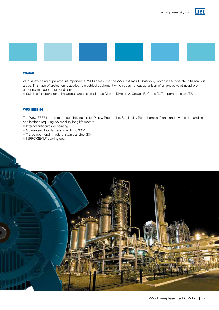



#### W50Xn

With safety being of paramount importance, WEG developed the W50Xn (Class I, Division 2) motor line to operate in hazardous areas. This type of protection is applied to electrical equipment which does not cause ignition of an explosive atmosphere under normal operating conditions.

<sup>g</sup> Suitable for operation in hazardous areas classified as Class I, Division 2, Groups B, C and D, Temperature class T3.

#### W50 IEEE 841

The W50 IEEE841 motors are specially suited for Pulp & Paper mills, Steel mills, Petrochemical Plants and diverse demanding applications requiring severe duty long life motors.

- $\blacksquare$  Internal anticorrosive painting
- Guaranteed foot flatness to within 0.005"
- T-type open drain made of stainless steel 304
- INPRO/SEAL<sup>®</sup> bearing seal